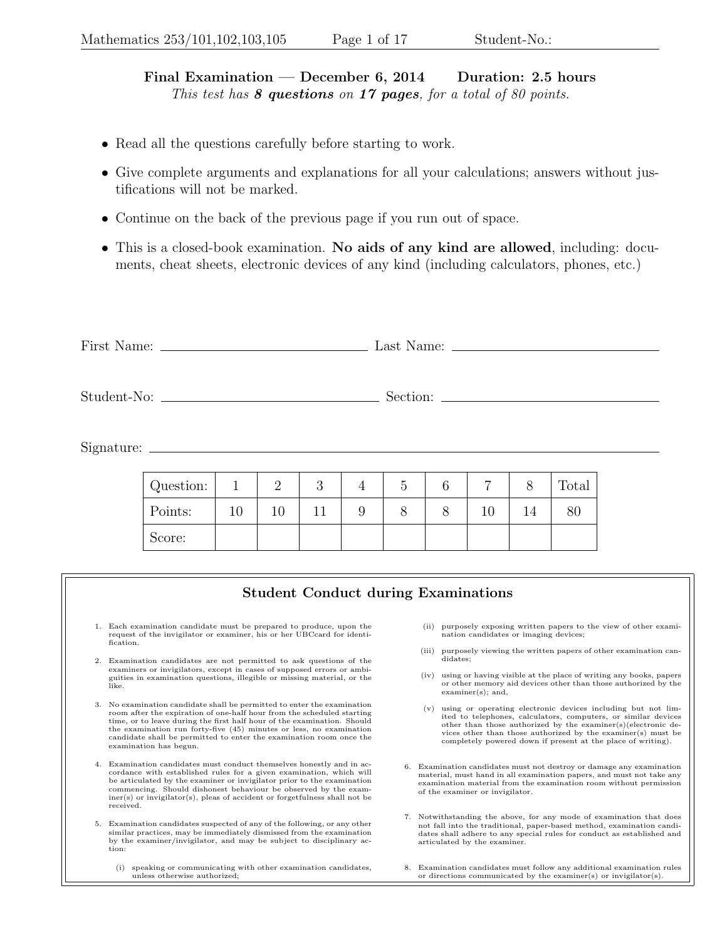Final Examination — December 6, 2014 Duration: 2.5 hours This test has  $8$  questions on 17 pages, for a total of 80 points.

- Read all the questions carefully before starting to work.
- Give complete arguments and explanations for all your calculations; answers without justifications will not be marked.
- Continue on the back of the previous page if you run out of space.
- This is a closed-book examination. No aids of any kind are allowed, including: documents, cheat sheets, electronic devices of any kind (including calculators, phones, etc.)

First Name: Last Name: Student-No: Section: Signature: Question:  $1 \ 1 \ 2 \ 3 \ 4 \ 5 \ 6 \ 7 \ 8$  Total Points: | 10 | 10 | 11 | 9 | 8 | 8 | 10 | 14 | 80 Score:

## Student Conduct during Examinations

- 1. Each examination candidate must be prepared to produce, upon the request of the invigilator or examiner, his or her UBCcard for identification.
- 2. Examination candidates are not permitted to ask questions of the examiners or invigilators, except in cases of supposed errors or ambi-guities in examination questions, illegible or missing material, or the like.
- 3. No examination candidate shall be permitted to enter the examination room after the expiration of one-half hour from the scheduled starting time, or to leave during the first half hour of the examination. Should the examination run forty-five (45) minutes or less, no examination candidate shall be permitted to enter the examination room once the examination has begun.
- 4. Examination candidates must conduct themselves honestly and in accordance with established rules for a given examination, which will be articulated by the examiner or invigilator prior to the examination commencing. Should dishonest behaviour be observed by the exam- $\operatorname{iner}(\mathbf{s})$  or invigilator(s), pleas of accident or forgetfulness shall not be received.
- 5. Examination candidates suspected of any of the following, or any other similar practices, may be immediately dismissed from the examination by the examiner/invigilator, and may be subject to disciplinary action:
	- (i) speaking or communicating with other examination candidates, unless otherwise authorized;
- (ii) purposely exposing written papers to the view of other examination candidates or imaging devices;
- (iii) purposely viewing the written papers of other examination candidates;
- (iv) using or having visible at the place of writing any books, papers or other memory aid devices other than those authorized by the examiner(s); and,
- (v) using or operating electronic devices including but not limited to telephones, calculators, computers, or similar devices other than those authorized by the examiner(s)(electronic devices other than those authorized by the examiner(s) must be completely powered down if present at the place of writing).
- 6. Examination candidates must not destroy or damage any examination material, must hand in all examination papers, and must not take any examination material from the examination room without permission of the examiner or invigilator.
- 7. Notwithstanding the above, for any mode of examination that does not fall into the traditional, paper-based method, examination candidates shall adhere to any special rules for conduct as established and articulated by the examiner.
- 8. Examination candidates must follow any additional examination rules or directions communicated by the examiner(s) or invigilator(s).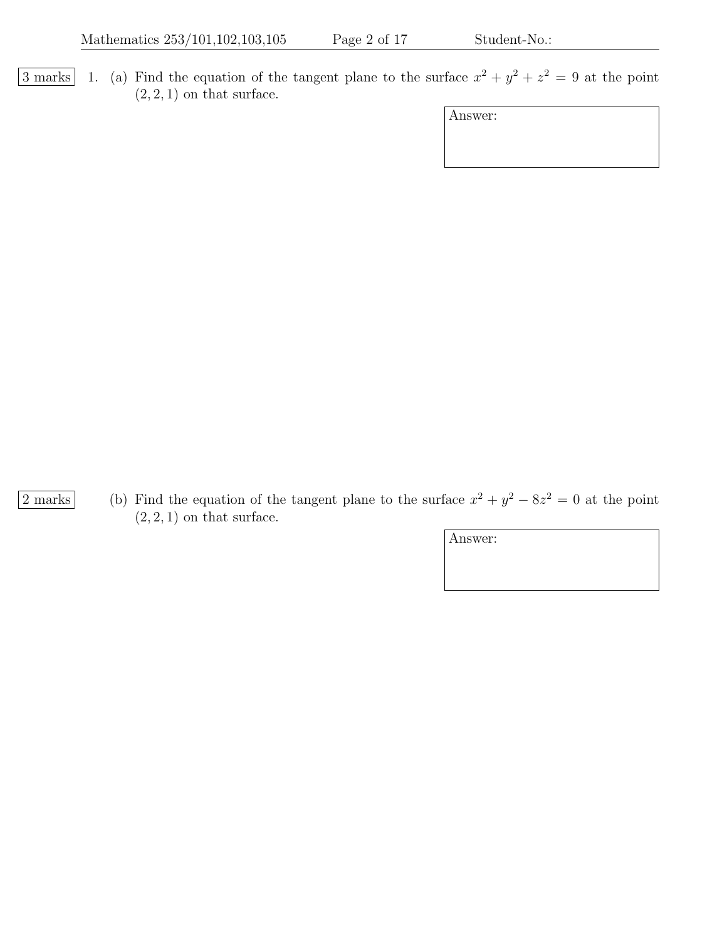3 marks 1. (a) Find the equation of the tangent plane to the surface  $x^2 + y^2 + z^2 = 9$  at the point  $(2, 2, 1)$  on that surface.

| Answer: |  |
|---------|--|
|         |  |
|         |  |

2 marks (b) Find the equation of the tangent plane to the surface  $x^2 + y^2 - 8z^2 = 0$  at the point  $(2, 2, 1)$  on that surface.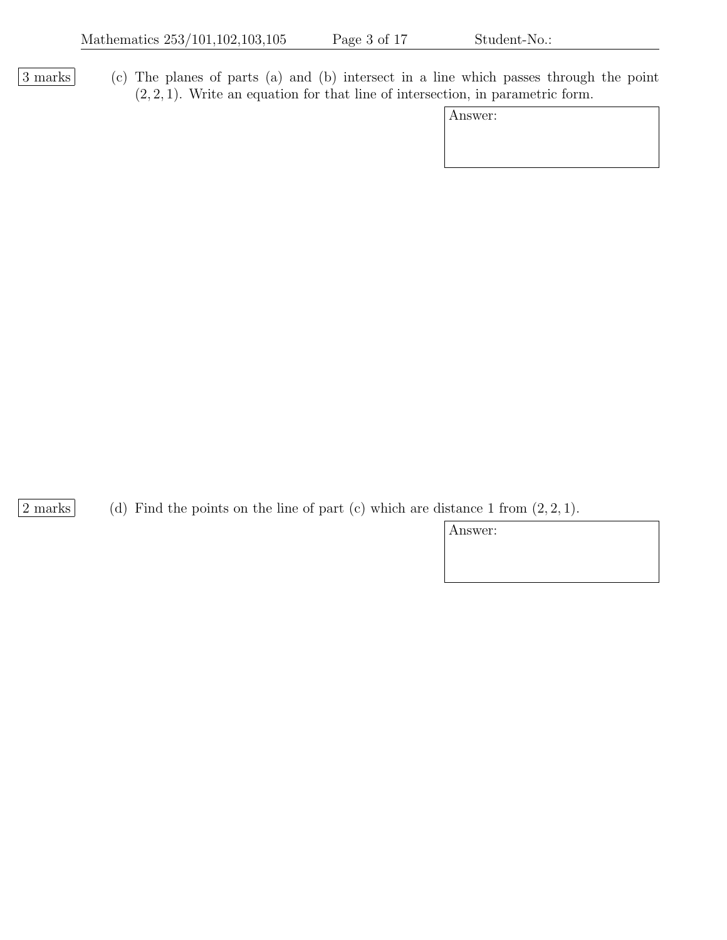3 marks (c) The planes of parts (a) and (b) intersect in a line which passes through the point  $(2, 2, 1)$ . Write an equation for that line of intersection, in parametric form.

| Answer: |  |
|---------|--|
|---------|--|

2 marks (d) Find the points on the line of part (c) which are distance 1 from  $(2, 2, 1)$ .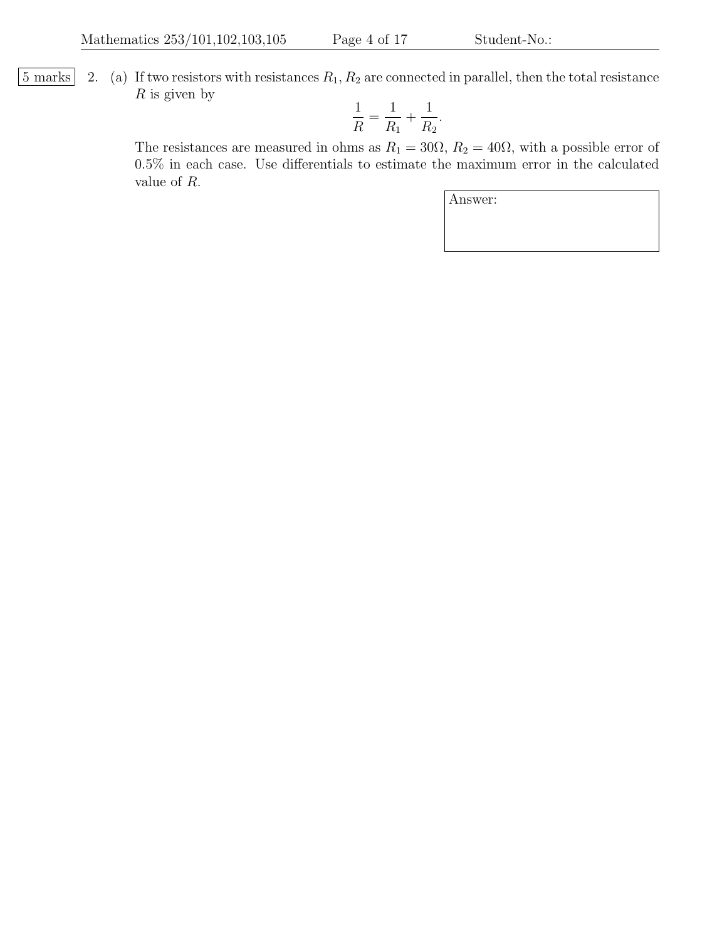$\boxed{5 \text{ marks}}$  2. (a) If two resistors with resistances  $R_1, R_2$  are connected in parallel, then the total resistance  $R$  is given by

$$
\frac{1}{R} = \frac{1}{R_1} + \frac{1}{R_2}.
$$

The resistances are measured in ohms as  $R_1 = 30\Omega$ ,  $R_2 = 40\Omega$ , with a possible error of 0.5% in each case. Use differentials to estimate the maximum error in the calculated value of R.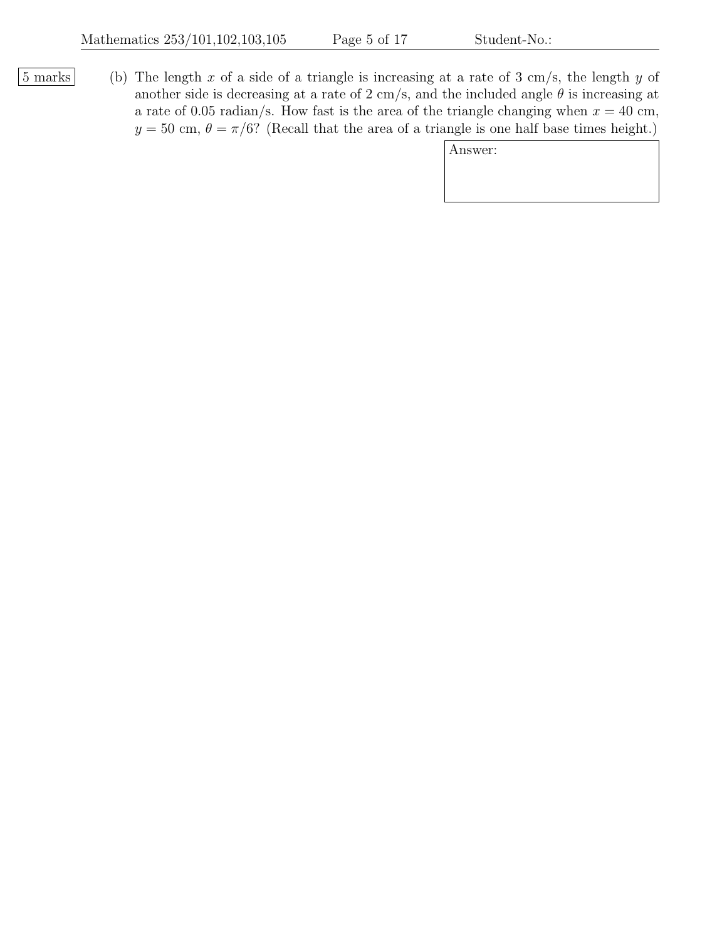$|5 \text{ marks}|$  (b) The length x of a side of a triangle is increasing at a rate of 3 cm/s, the length y of another side is decreasing at a rate of 2 cm/s, and the included angle  $\theta$  is increasing at a rate of 0.05 radian/s. How fast is the area of the triangle changing when  $x = 40$  cm,  $y = 50$  cm,  $\theta = \pi/6$ ? (Recall that the area of a triangle is one half base times height.)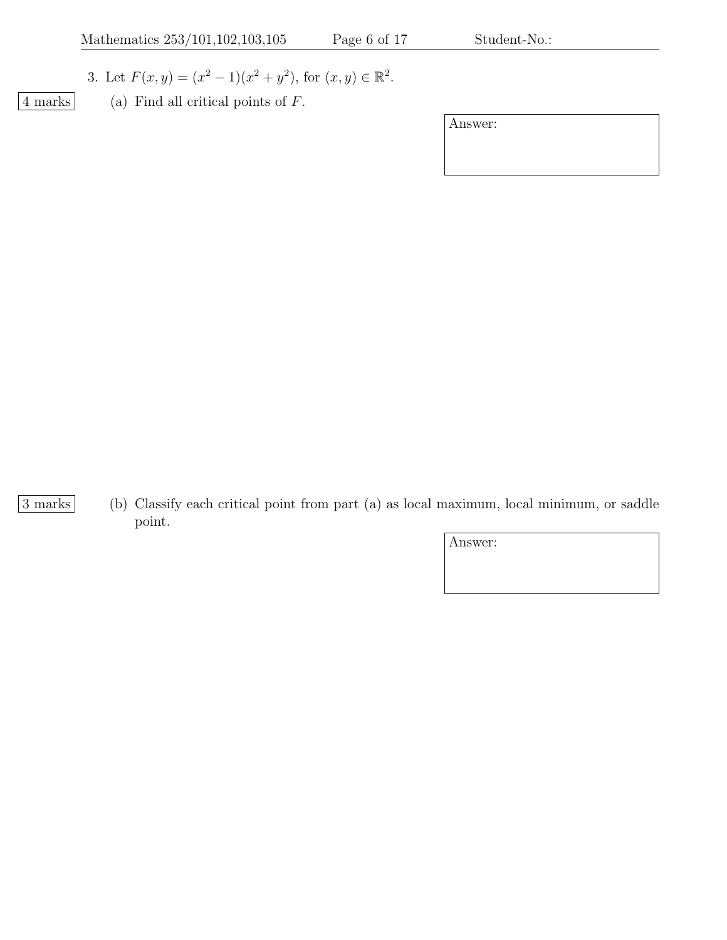- 3. Let  $F(x, y) = (x^2 1)(x^2 + y^2)$ , for  $(x, y) \in \mathbb{R}^2$ .
- 
- $\boxed{4 \text{ marks}}$  (a) Find all critical points of F.

Answer:

3 marks (b) Classify each critical point from part (a) as local maximum, local minimum, or saddle point.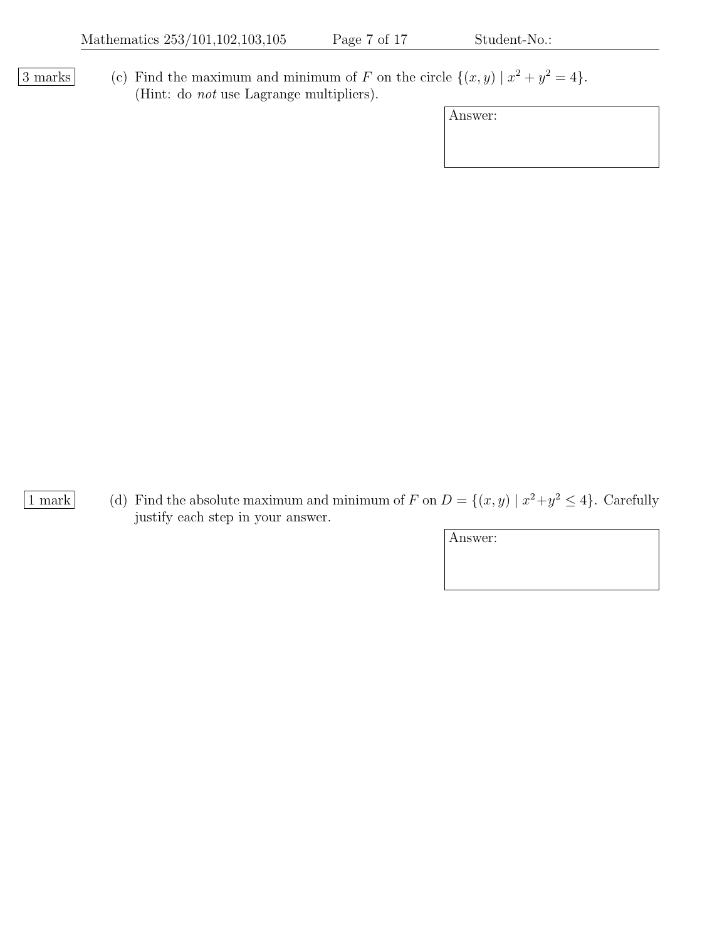3 marks (c) Find the maximum and minimum of F on the circle  $\{(x, y) | x^2 + y^2 = 4\}.$ (Hint: do not use Lagrange multipliers).

| Answer: |  |
|---------|--|
|---------|--|

1 mark (d) Find the absolute maximum and minimum of F on  $D = \{(x, y) | x^2 + y^2 \le 4\}$ . Carefully justify each step in your answer.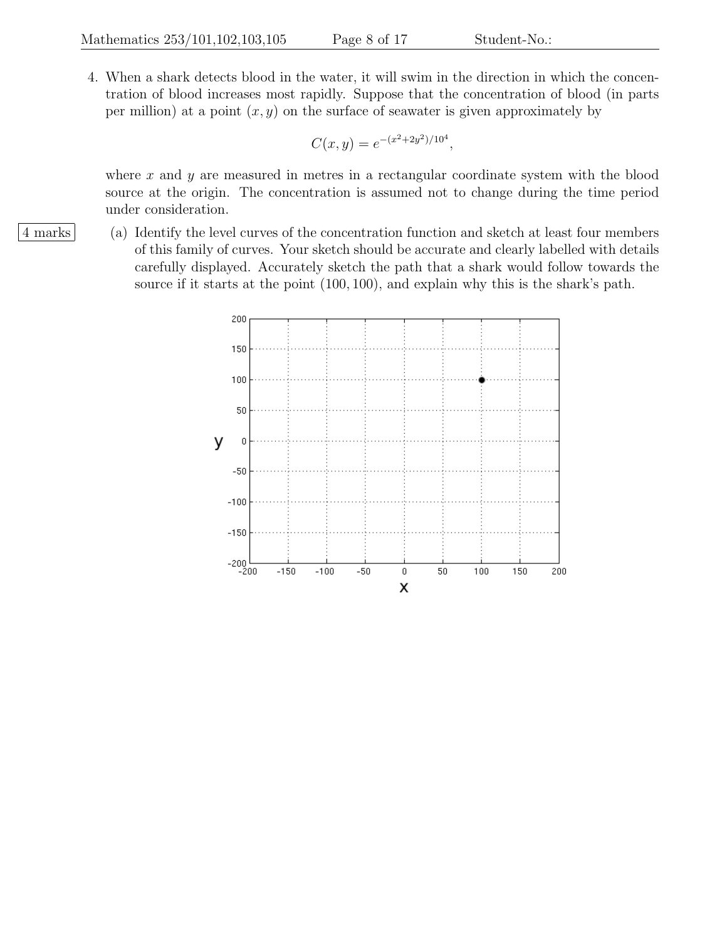4. When a shark detects blood in the water, it will swim in the direction in which the concentration of blood increases most rapidly. Suppose that the concentration of blood (in parts per million) at a point  $(x, y)$  on the surface of seawater is given approximately by

$$
C(x, y) = e^{-(x^2 + 2y^2)/10^4},
$$

where  $x$  and  $y$  are measured in metres in a rectangular coordinate system with the blood source at the origin. The concentration is assumed not to change during the time period under consideration.

4 marks (a) Identify the level curves of the concentration function and sketch at least four members of this family of curves. Your sketch should be accurate and clearly labelled with details carefully displayed. Accurately sketch the path that a shark would follow towards the source if it starts at the point (100, 100), and explain why this is the shark's path.

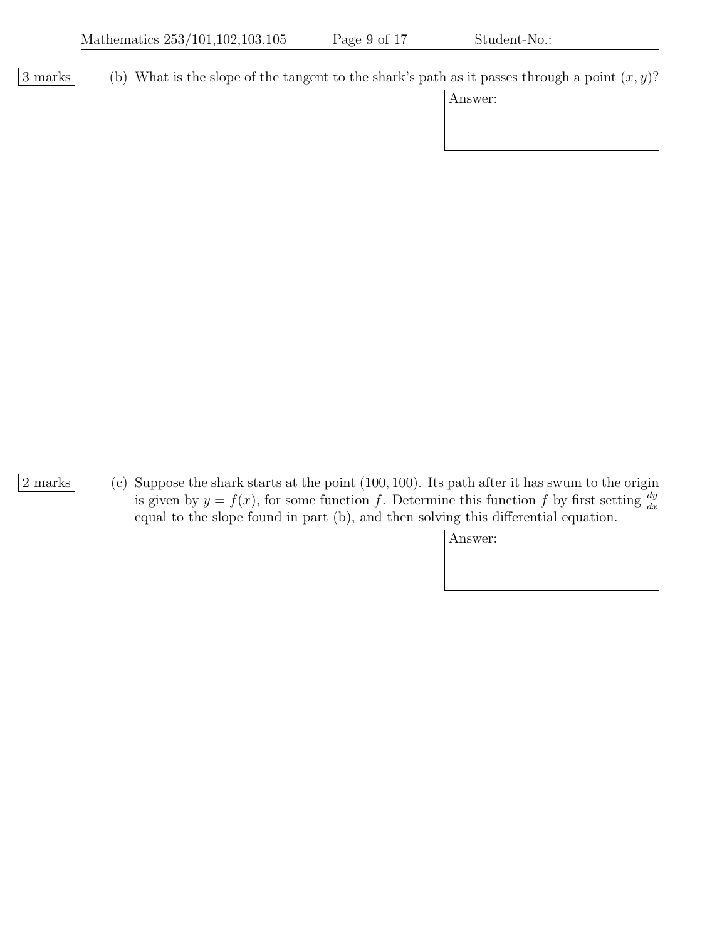3 marks (b) What is the slope of the tangent to the shark's path as it passes through a point  $(x, y)$ ?

| Answer: |
|---------|
|---------|

2 marks (c) Suppose the shark starts at the point (100, 100). Its path after it has swum to the origin is given by  $y = f(x)$ , for some function f. Determine this function f by first setting  $\frac{dy}{dx}$ equal to the slope found in part (b), and then solving this differential equation.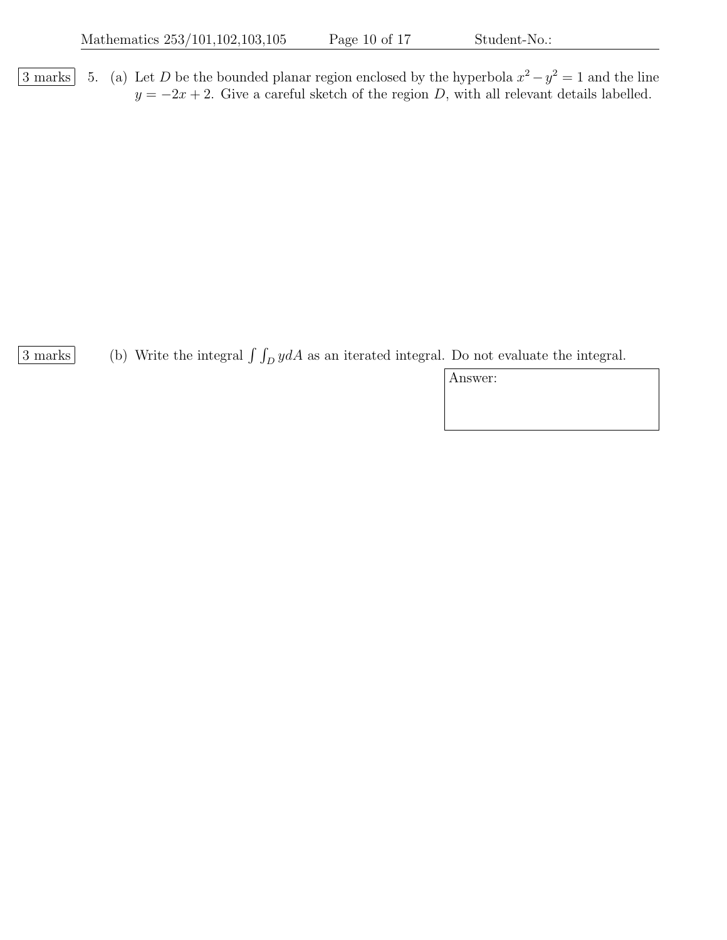3 marks 5. (a) Let D be the bounded planar region enclosed by the hyperbola  $x^2 - y^2 = 1$  and the line  $y = -2x + 2$ . Give a careful sketch of the region D, with all relevant details labelled.

 $\frac{3 \text{ marks}}{2}$  (b) Write the integral  $\int \int_D y dA$  as an iterated integral. Do not evaluate the integral.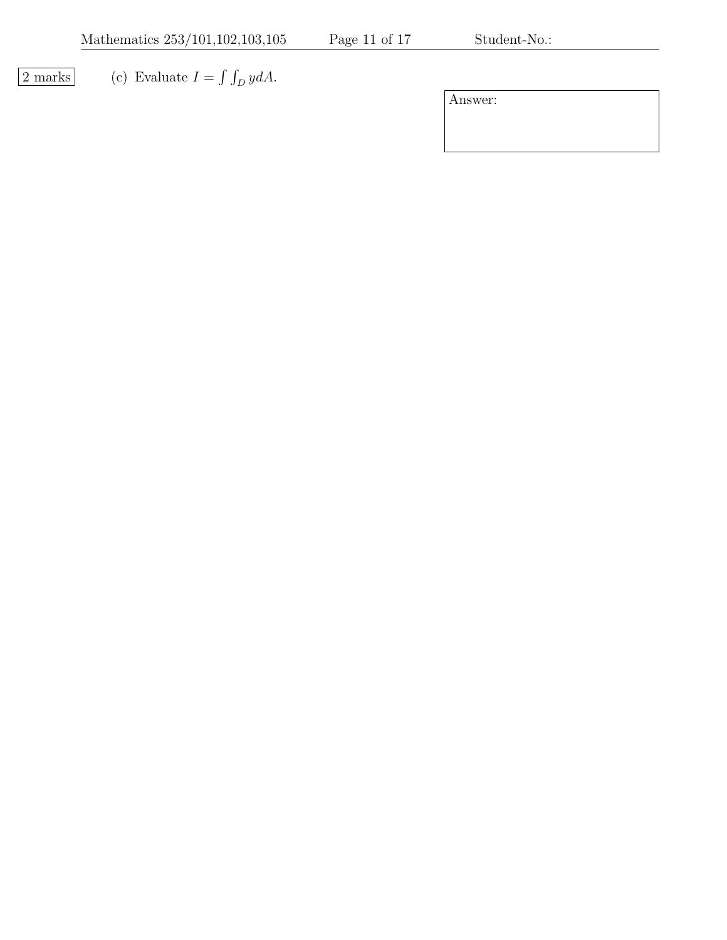$\boxed{2 \text{ marks}}$  (c) Evaluate  $I = \int \int_D y dA$ .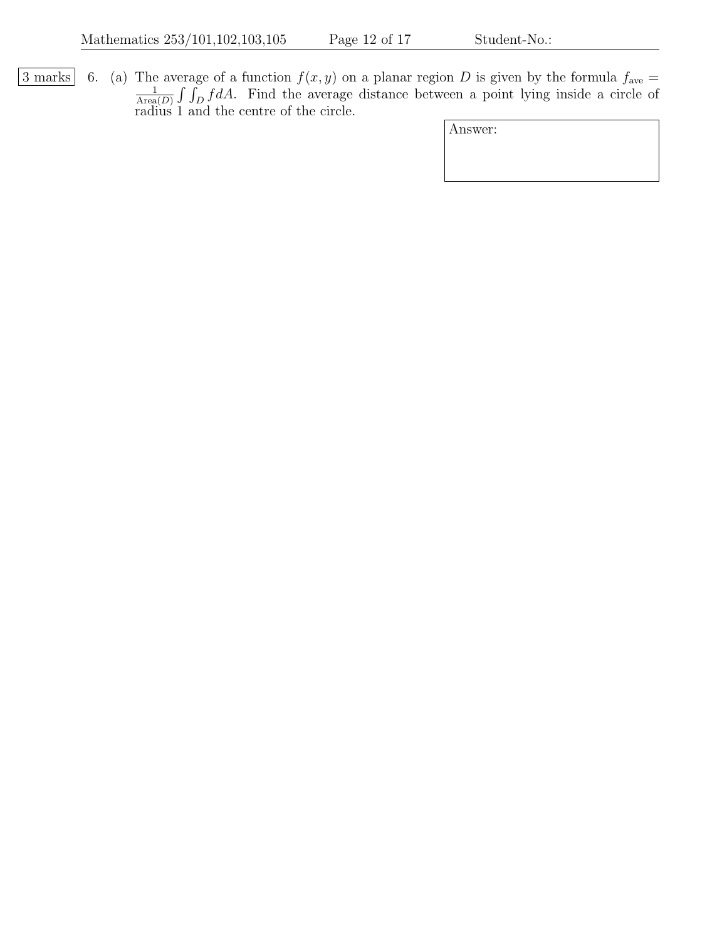3 marks 6. (a) The average of a function  $f(x, y)$  on a planar region D is given by the formula  $f_{\text{ave}} =$ 1  $\frac{1}{\text{Area}(D)} \int \int_D f dA$ . Find the average distance between a point lying inside a circle of radius 1 and the centre of the circle.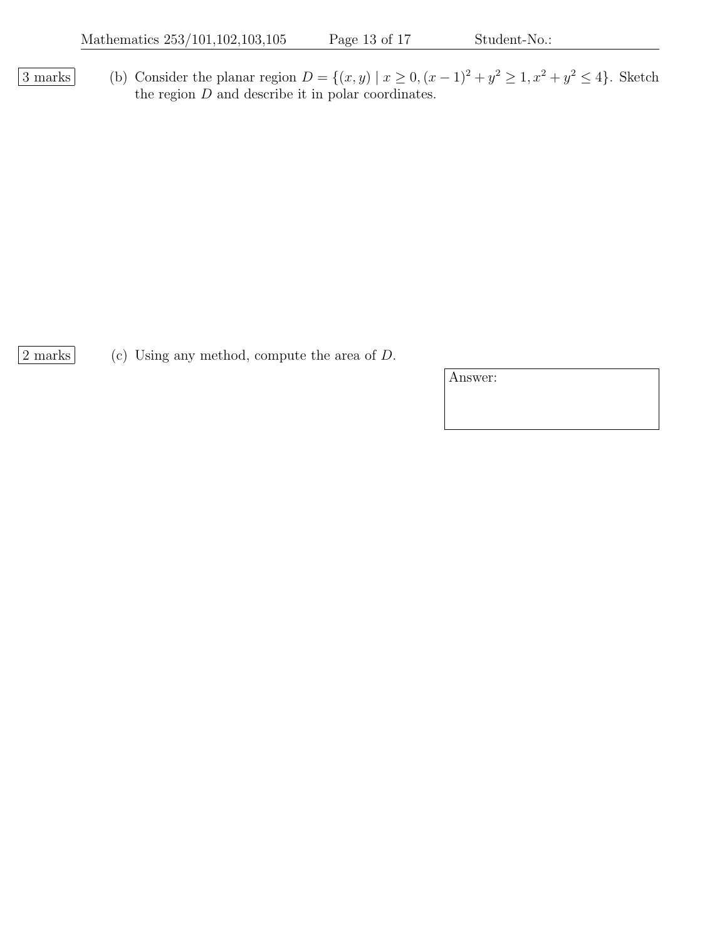3 marks (b) Consider the planar region  $D = \{(x, y) | x \ge 0, (x - 1)^2 + y^2 \ge 1, x^2 + y^2 \le 4\}$ . Sketch the region  $D$  and describe it in polar coordinates.

 $\boxed{2 \text{ marks}}$  (c) Using any method, compute the area of D.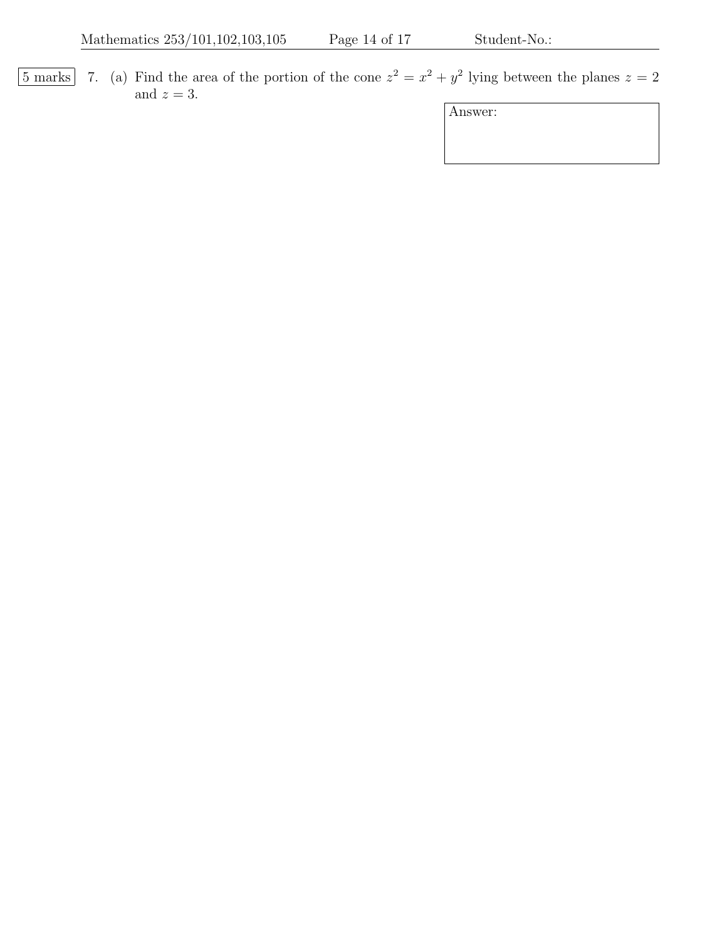5 marks 7. (a) Find the area of the portion of the cone  $z^2 = x^2 + y^2$  lying between the planes  $z = 2$ and  $z = 3$ .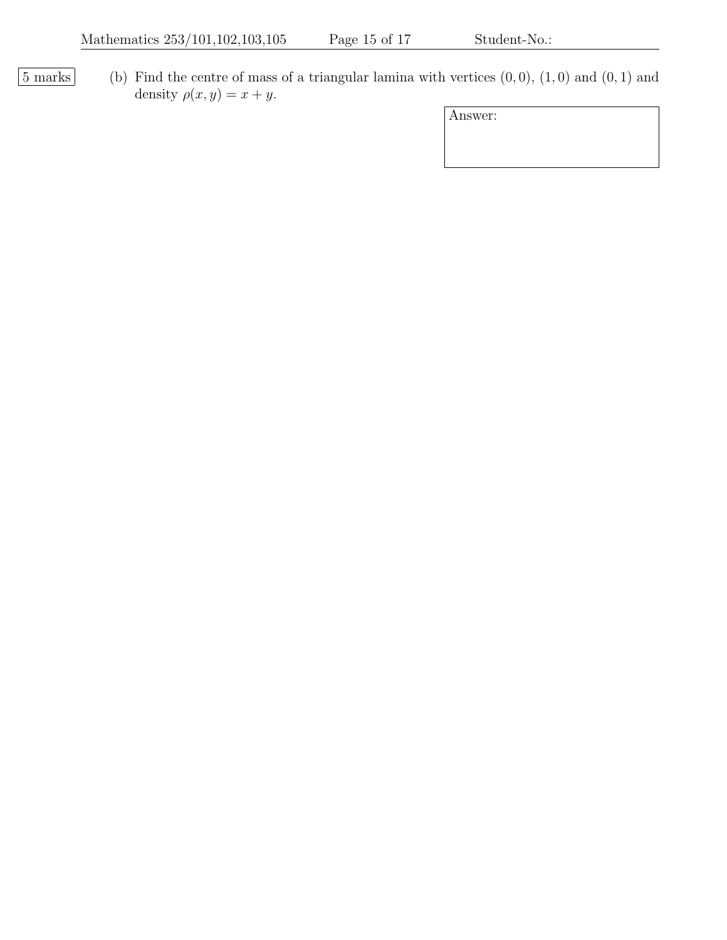$\boxed{5 \text{ marks}}$  (b) Find the centre of mass of a triangular lamina with vertices  $(0, 0)$ ,  $(1, 0)$  and  $(0, 1)$  and density  $\rho(x, y) = x + y$ .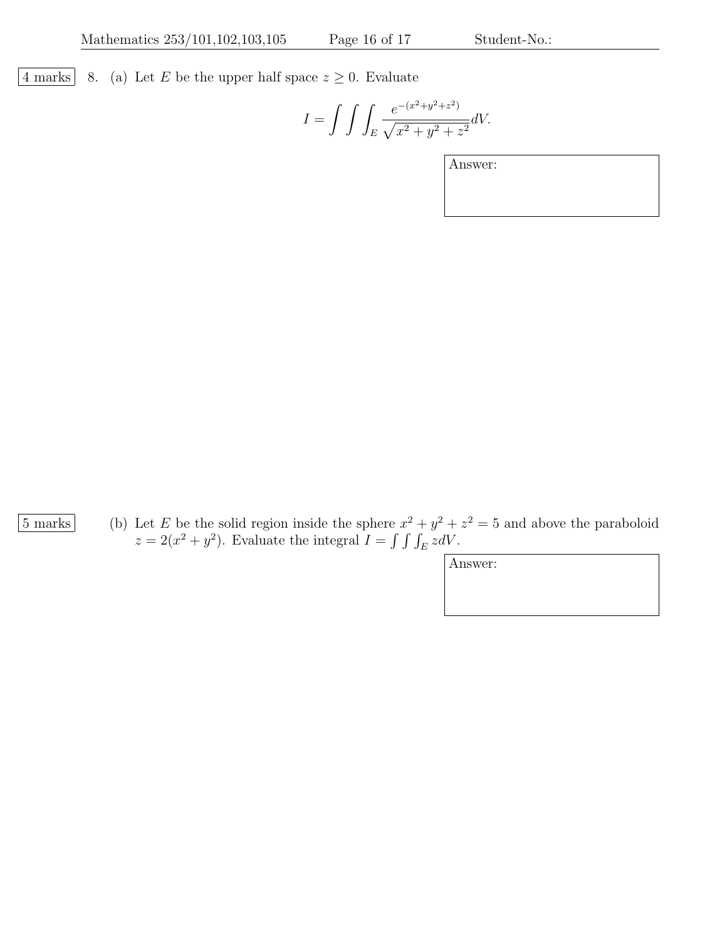$\lfloor 4 \text{ marks} \rfloor$  8. (a) Let E be the upper half space  $z \geq 0$ . Evaluate

$$
I = \int \int \int_E \frac{e^{-(x^2 + y^2 + z^2)}}{\sqrt{x^2 + y^2 + z^2}} dV.
$$

Answer:

5 marks (b) Let E be the solid region inside the sphere  $x^2 + y^2 + z^2 = 5$  and above the paraboloid  $z = 2(x^2 + y^2)$ . Evaluate the integral  $I = \int \int \int_E z dV$ .